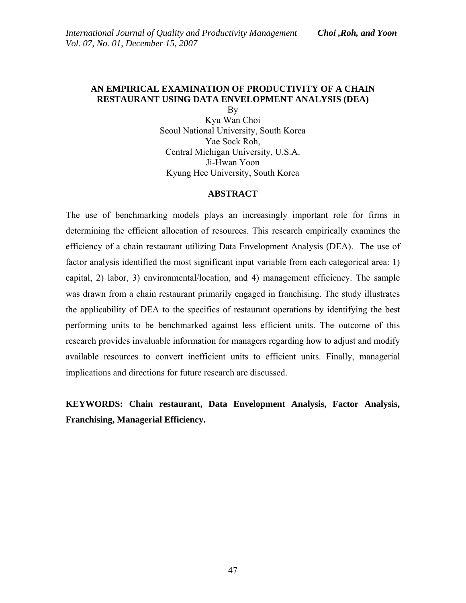# **AN EMPIRICAL EXAMINATION OF PRODUCTIVITY OF A CHAIN RESTAURANT USING DATA ENVELOPMENT ANALYSIS (DEA)**

By Kyu Wan Choi Seoul National University, South Korea Yae Sock Roh, Central Michigan University, U.S.A. Ji-Hwan Yoon Kyung Hee University, South Korea

#### **ABSTRACT**

The use of benchmarking models plays an increasingly important role for firms in determining the efficient allocation of resources. This research empirically examines the efficiency of a chain restaurant utilizing Data Envelopment Analysis (DEA). The use of factor analysis identified the most significant input variable from each categorical area: 1) capital, 2) labor, 3) environmental/location, and 4) management efficiency. The sample was drawn from a chain restaurant primarily engaged in franchising. The study illustrates the applicability of DEA to the specifics of restaurant operations by identifying the best performing units to be benchmarked against less efficient units. The outcome of this research provides invaluable information for managers regarding how to adjust and modify available resources to convert inefficient units to efficient units. Finally, managerial implications and directions for future research are discussed.

**KEYWORDS: Chain restaurant, Data Envelopment Analysis, Factor Analysis, Franchising, Managerial Efficiency.**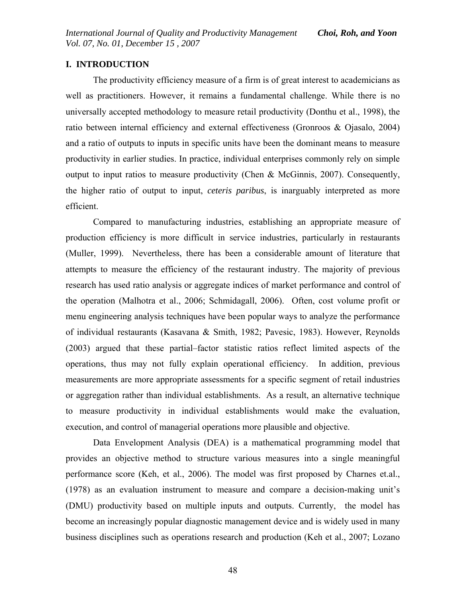# **I. INTRODUCTION**

The productivity efficiency measure of a firm is of great interest to academicians as well as practitioners. However, it remains a fundamental challenge. While there is no universally accepted methodology to measure retail productivity (Donthu et al., 1998), the ratio between internal efficiency and external effectiveness (Gronroos & Ojasalo, 2004) and a ratio of outputs to inputs in specific units have been the dominant means to measure productivity in earlier studies. In practice, individual enterprises commonly rely on simple output to input ratios to measure productivity (Chen & McGinnis, 2007). Consequently, the higher ratio of output to input, *ceteris paribus*, is inarguably interpreted as more efficient.

Compared to manufacturing industries, establishing an appropriate measure of production efficiency is more difficult in service industries, particularly in restaurants (Muller, 1999). Nevertheless, there has been a considerable amount of literature that attempts to measure the efficiency of the restaurant industry. The majority of previous research has used ratio analysis or aggregate indices of market performance and control of the operation (Malhotra et al., 2006; Schmidagall, 2006). Often, cost volume profit or menu engineering analysis techniques have been popular ways to analyze the performance of individual restaurants (Kasavana & Smith, 1982; Pavesic, 1983). However, Reynolds (2003) argued that these partial–factor statistic ratios reflect limited aspects of the operations, thus may not fully explain operational efficiency. In addition, previous measurements are more appropriate assessments for a specific segment of retail industries or aggregation rather than individual establishments. As a result, an alternative technique to measure productivity in individual establishments would make the evaluation, execution, and control of managerial operations more plausible and objective.

Data Envelopment Analysis (DEA) is a mathematical programming model that provides an objective method to structure various measures into a single meaningful performance score (Keh, et al., 2006). The model was first proposed by Charnes et.al., (1978) as an evaluation instrument to measure and compare a decision-making unit's (DMU) productivity based on multiple inputs and outputs. Currently, the model has become an increasingly popular diagnostic management device and is widely used in many business disciplines such as operations research and production (Keh et al., 2007; Lozano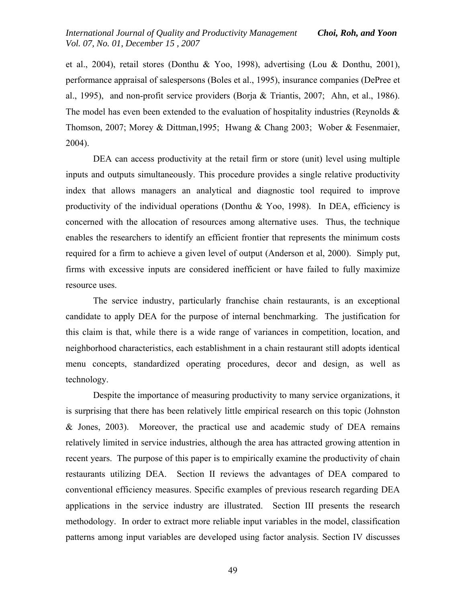et al., 2004), retail stores (Donthu & Yoo, 1998), advertising (Lou & Donthu, 2001), performance appraisal of salespersons (Boles et al., 1995), insurance companies (DePree et al., 1995), and non-profit service providers (Borja & Triantis, 2007; Ahn, et al., 1986). The model has even been extended to the evaluation of hospitality industries (Reynolds  $\&$ Thomson, 2007; Morey & Dittman,1995; Hwang & Chang 2003; Wober & Fesenmaier, 2004).

DEA can access productivity at the retail firm or store (unit) level using multiple inputs and outputs simultaneously. This procedure provides a single relative productivity index that allows managers an analytical and diagnostic tool required to improve productivity of the individual operations (Donthu & Yoo, 1998). In DEA, efficiency is concerned with the allocation of resources among alternative uses. Thus, the technique enables the researchers to identify an efficient frontier that represents the minimum costs required for a firm to achieve a given level of output (Anderson et al, 2000). Simply put, firms with excessive inputs are considered inefficient or have failed to fully maximize resource uses.

The service industry, particularly franchise chain restaurants, is an exceptional candidate to apply DEA for the purpose of internal benchmarking. The justification for this claim is that, while there is a wide range of variances in competition, location, and neighborhood characteristics, each establishment in a chain restaurant still adopts identical menu concepts, standardized operating procedures, decor and design, as well as technology.

Despite the importance of measuring productivity to many service organizations, it is surprising that there has been relatively little empirical research on this topic (Johnston & Jones, 2003). Moreover, the practical use and academic study of DEA remains relatively limited in service industries, although the area has attracted growing attention in recent years. The purpose of this paper is to empirically examine the productivity of chain restaurants utilizing DEA. Section II reviews the advantages of DEA compared to conventional efficiency measures. Specific examples of previous research regarding DEA applications in the service industry are illustrated. Section III presents the research methodology. In order to extract more reliable input variables in the model, classification patterns among input variables are developed using factor analysis. Section IV discusses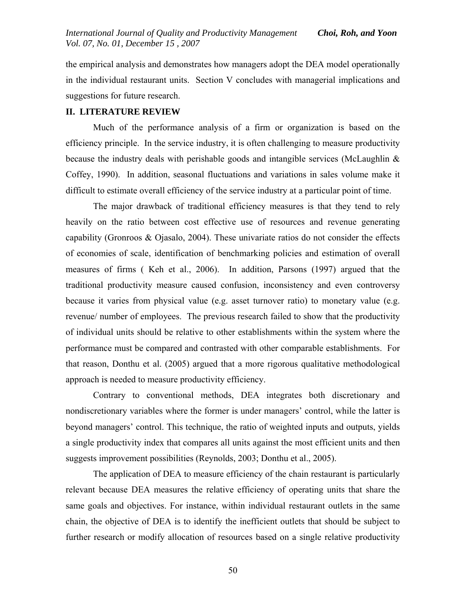the empirical analysis and demonstrates how managers adopt the DEA model operationally in the individual restaurant units. Section V concludes with managerial implications and suggestions for future research.

#### **II. LITERATURE REVIEW**

Much of the performance analysis of a firm or organization is based on the efficiency principle. In the service industry, it is often challenging to measure productivity because the industry deals with perishable goods and intangible services (McLaughlin & Coffey, 1990). In addition, seasonal fluctuations and variations in sales volume make it difficult to estimate overall efficiency of the service industry at a particular point of time.

The major drawback of traditional efficiency measures is that they tend to rely heavily on the ratio between cost effective use of resources and revenue generating capability (Gronroos  $\&$  Ojasalo, 2004). These univariate ratios do not consider the effects of economies of scale, identification of benchmarking policies and estimation of overall measures of firms ( Keh et al., 2006). In addition, Parsons (1997) argued that the traditional productivity measure caused confusion, inconsistency and even controversy because it varies from physical value (e.g. asset turnover ratio) to monetary value (e.g. revenue/ number of employees. The previous research failed to show that the productivity of individual units should be relative to other establishments within the system where the performance must be compared and contrasted with other comparable establishments. For that reason, Donthu et al. (2005) argued that a more rigorous qualitative methodological approach is needed to measure productivity efficiency.

Contrary to conventional methods, DEA integrates both discretionary and nondiscretionary variables where the former is under managers' control, while the latter is beyond managers' control. This technique, the ratio of weighted inputs and outputs, yields a single productivity index that compares all units against the most efficient units and then suggests improvement possibilities (Reynolds, 2003; Donthu et al., 2005).

The application of DEA to measure efficiency of the chain restaurant is particularly relevant because DEA measures the relative efficiency of operating units that share the same goals and objectives. For instance, within individual restaurant outlets in the same chain, the objective of DEA is to identify the inefficient outlets that should be subject to further research or modify allocation of resources based on a single relative productivity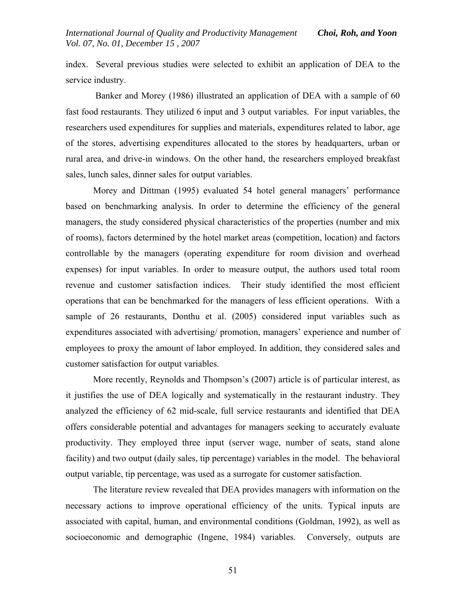index. Several previous studies were selected to exhibit an application of DEA to the service industry.

 Banker and Morey (1986) illustrated an application of DEA with a sample of 60 fast food restaurants. They utilized 6 input and 3 output variables. For input variables, the researchers used expenditures for supplies and materials, expenditures related to labor, age of the stores, advertising expenditures allocated to the stores by headquarters, urban or rural area, and drive-in windows. On the other hand, the researchers employed breakfast sales, lunch sales, dinner sales for output variables.

 Morey and Dittman (1995) evaluated 54 hotel general managers' performance based on benchmarking analysis. In order to determine the efficiency of the general managers, the study considered physical characteristics of the properties (number and mix of rooms), factors determined by the hotel market areas (competition, location) and factors controllable by the managers (operating expenditure for room division and overhead expenses) for input variables. In order to measure output, the authors used total room revenue and customer satisfaction indices. Their study identified the most efficient operations that can be benchmarked for the managers of less efficient operations. With a sample of 26 restaurants, Donthu et al. (2005) considered input variables such as expenditures associated with advertising/ promotion, managers' experience and number of employees to proxy the amount of labor employed. In addition, they considered sales and customer satisfaction for output variables.

More recently, Reynolds and Thompson's (2007) article is of particular interest, as it justifies the use of DEA logically and systematically in the restaurant industry. They analyzed the efficiency of 62 mid-scale, full service restaurants and identified that DEA offers considerable potential and advantages for managers seeking to accurately evaluate productivity. They employed three input (server wage, number of seats, stand alone facility) and two output (daily sales, tip percentage) variables in the model. The behavioral output variable, tip percentage, was used as a surrogate for customer satisfaction.

The literature review revealed that DEA provides managers with information on the necessary actions to improve operational efficiency of the units. Typical inputs are associated with capital, human, and environmental conditions (Goldman, 1992), as well as socioeconomic and demographic (Ingene, 1984) variables. Conversely, outputs are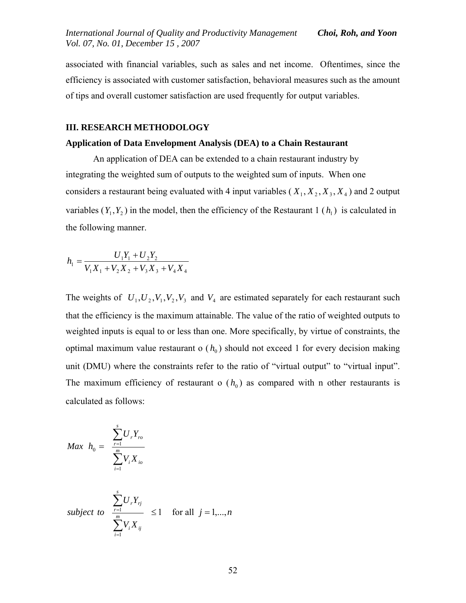associated with financial variables, such as sales and net income. Oftentimes, since the efficiency is associated with customer satisfaction, behavioral measures such as the amount of tips and overall customer satisfaction are used frequently for output variables.

# **III. RESEARCH METHODOLOGY**

### **Application of Data Envelopment Analysis (DEA) to a Chain Restaurant**

An application of DEA can be extended to a chain restaurant industry by integrating the weighted sum of outputs to the weighted sum of inputs. When one considers a restaurant being evaluated with 4 input variables  $(X_1, X_2, X_3, X_4)$  and 2 output variables  $(Y_1, Y_2)$  in the model, then the efficiency of the Restaurant 1  $(h_1)$  is calculated in the following manner.

$$
h_1 = \frac{U_1 Y_1 + U_2 Y_2}{V_1 X_1 + V_2 X_2 + V_3 X_3 + V_4 X_4}
$$

The weights of  $U_1, U_2, V_1, V_2, V_3$  and  $V_4$  are estimated separately for each restaurant such that the efficiency is the maximum attainable. The value of the ratio of weighted outputs to weighted inputs is equal to or less than one. More specifically, by virtue of constraints, the optimal maximum value restaurant  $o(h_0)$  should not exceed 1 for every decision making unit (DMU) where the constraints refer to the ratio of "virtual output" to "virtual input". The maximum efficiency of restaurant o  $(h_0)$  as compared with n other restaurants is calculated as follows:

$$
Max \t h_0 = \frac{\sum_{r=1}^{s} U_r Y_{ro}}{\sum_{i=1}^{m} V_i X_{io}}
$$
\n
$$
subject \t to \t \frac{\sum_{r=1}^{s} U_r Y_{rj}}{\sum_{i=1}^{m} V_i X_{ij}} \le 1 \t for all \t j = 1,...,n
$$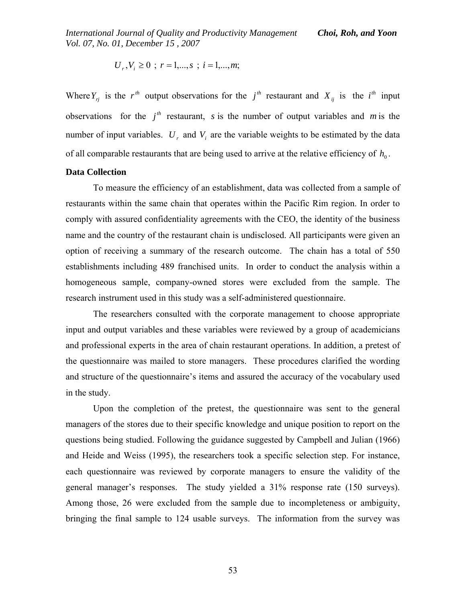*International Journal of Quality and Productivity Management Choi, Roh, and Yoon Vol. 07, No. 01, December 15 , 2007* 

$$
U_r
$$
,  $V_i \ge 0$  ;  $r = 1,...,s$  ;  $i = 1,...,m$ ;

Where  $Y_{rj}$  is the r<sup>th</sup> output observations for the j<sup>th</sup> restaurant and  $X_{ij}$  is the i<sup>th</sup> input observations for the  $j<sup>th</sup>$  restaurant, *s* is the number of output variables and *m* is the number of input variables.  $U_r$  and  $V_i$  are the variable weights to be estimated by the data of all comparable restaurants that are being used to arrive at the relative efficiency of  $h_0$ .

### **Data Collection**

To measure the efficiency of an establishment, data was collected from a sample of restaurants within the same chain that operates within the Pacific Rim region. In order to comply with assured confidentiality agreements with the CEO, the identity of the business name and the country of the restaurant chain is undisclosed. All participants were given an option of receiving a summary of the research outcome. The chain has a total of 550 establishments including 489 franchised units. In order to conduct the analysis within a homogeneous sample, company-owned stores were excluded from the sample. The research instrument used in this study was a self-administered questionnaire.

The researchers consulted with the corporate management to choose appropriate input and output variables and these variables were reviewed by a group of academicians and professional experts in the area of chain restaurant operations. In addition, a pretest of the questionnaire was mailed to store managers. These procedures clarified the wording and structure of the questionnaire's items and assured the accuracy of the vocabulary used in the study.

Upon the completion of the pretest, the questionnaire was sent to the general managers of the stores due to their specific knowledge and unique position to report on the questions being studied. Following the guidance suggested by Campbell and Julian (1966) and Heide and Weiss (1995), the researchers took a specific selection step. For instance, each questionnaire was reviewed by corporate managers to ensure the validity of the general manager's responses. The study yielded a 31% response rate (150 surveys). Among those, 26 were excluded from the sample due to incompleteness or ambiguity, bringing the final sample to 124 usable surveys. The information from the survey was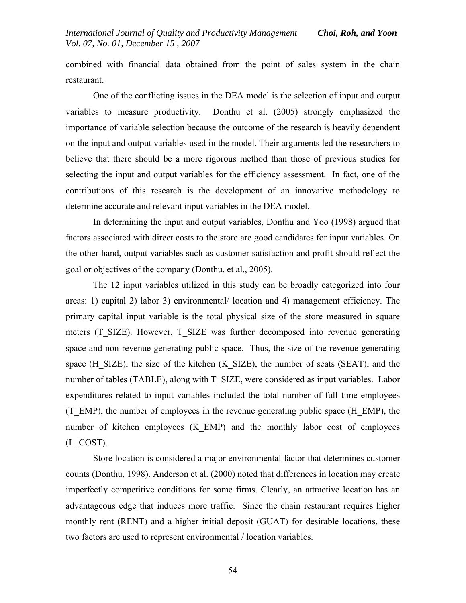combined with financial data obtained from the point of sales system in the chain restaurant.

One of the conflicting issues in the DEA model is the selection of input and output variables to measure productivity. Donthu et al. (2005) strongly emphasized the importance of variable selection because the outcome of the research is heavily dependent on the input and output variables used in the model. Their arguments led the researchers to believe that there should be a more rigorous method than those of previous studies for selecting the input and output variables for the efficiency assessment. In fact, one of the contributions of this research is the development of an innovative methodology to determine accurate and relevant input variables in the DEA model.

In determining the input and output variables, Donthu and Yoo (1998) argued that factors associated with direct costs to the store are good candidates for input variables. On the other hand, output variables such as customer satisfaction and profit should reflect the goal or objectives of the company (Donthu, et al., 2005).

The 12 input variables utilized in this study can be broadly categorized into four areas: 1) capital 2) labor 3) environmental/ location and 4) management efficiency. The primary capital input variable is the total physical size of the store measured in square meters (T\_SIZE). However, T\_SIZE was further decomposed into revenue generating space and non-revenue generating public space. Thus, the size of the revenue generating space (H\_SIZE), the size of the kitchen (K\_SIZE), the number of seats (SEAT), and the number of tables (TABLE), along with T\_SIZE, were considered as input variables. Labor expenditures related to input variables included the total number of full time employees (T\_EMP), the number of employees in the revenue generating public space (H\_EMP), the number of kitchen employees (K\_EMP) and the monthly labor cost of employees (L\_COST).

Store location is considered a major environmental factor that determines customer counts (Donthu, 1998). Anderson et al. (2000) noted that differences in location may create imperfectly competitive conditions for some firms. Clearly, an attractive location has an advantageous edge that induces more traffic. Since the chain restaurant requires higher monthly rent (RENT) and a higher initial deposit (GUAT) for desirable locations, these two factors are used to represent environmental / location variables.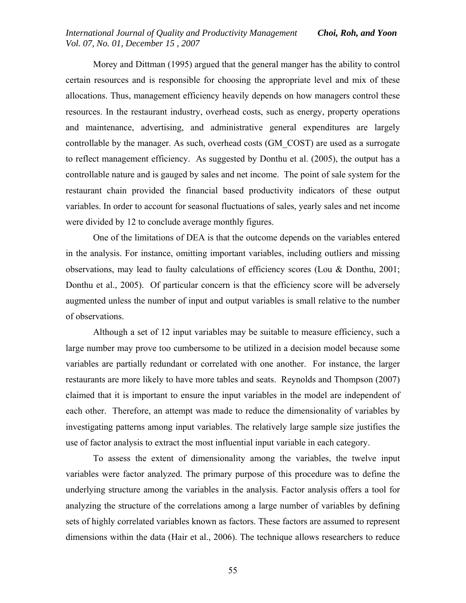## *International Journal of Quality and Productivity Management Choi, Roh, and Yoon Vol. 07, No. 01, December 15 , 2007*

 Morey and Dittman (1995) argued that the general manger has the ability to control certain resources and is responsible for choosing the appropriate level and mix of these allocations. Thus, management efficiency heavily depends on how managers control these resources. In the restaurant industry, overhead costs, such as energy, property operations and maintenance, advertising, and administrative general expenditures are largely controllable by the manager. As such, overhead costs (GM\_COST) are used as a surrogate to reflect management efficiency. As suggested by Donthu et al. (2005), the output has a controllable nature and is gauged by sales and net income. The point of sale system for the restaurant chain provided the financial based productivity indicators of these output variables. In order to account for seasonal fluctuations of sales, yearly sales and net income were divided by 12 to conclude average monthly figures.

One of the limitations of DEA is that the outcome depends on the variables entered in the analysis. For instance, omitting important variables, including outliers and missing observations, may lead to faulty calculations of efficiency scores (Lou & Donthu, 2001; Donthu et al., 2005). Of particular concern is that the efficiency score will be adversely augmented unless the number of input and output variables is small relative to the number of observations.

Although a set of 12 input variables may be suitable to measure efficiency, such a large number may prove too cumbersome to be utilized in a decision model because some variables are partially redundant or correlated with one another. For instance, the larger restaurants are more likely to have more tables and seats. Reynolds and Thompson (2007) claimed that it is important to ensure the input variables in the model are independent of each other. Therefore, an attempt was made to reduce the dimensionality of variables by investigating patterns among input variables. The relatively large sample size justifies the use of factor analysis to extract the most influential input variable in each category.

To assess the extent of dimensionality among the variables, the twelve input variables were factor analyzed. The primary purpose of this procedure was to define the underlying structure among the variables in the analysis. Factor analysis offers a tool for analyzing the structure of the correlations among a large number of variables by defining sets of highly correlated variables known as factors. These factors are assumed to represent dimensions within the data (Hair et al., 2006). The technique allows researchers to reduce

55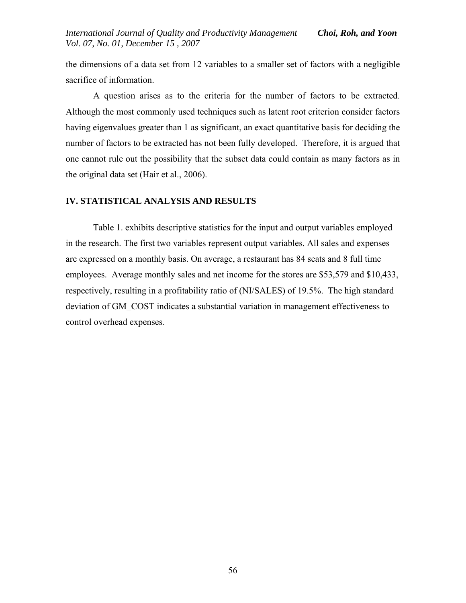the dimensions of a data set from 12 variables to a smaller set of factors with a negligible sacrifice of information.

A question arises as to the criteria for the number of factors to be extracted. Although the most commonly used techniques such as latent root criterion consider factors having eigenvalues greater than 1 as significant, an exact quantitative basis for deciding the number of factors to be extracted has not been fully developed. Therefore, it is argued that one cannot rule out the possibility that the subset data could contain as many factors as in the original data set (Hair et al., 2006).

# **IV. STATISTICAL ANALYSIS AND RESULTS**

Table 1. exhibits descriptive statistics for the input and output variables employed in the research. The first two variables represent output variables. All sales and expenses are expressed on a monthly basis. On average, a restaurant has 84 seats and 8 full time employees. Average monthly sales and net income for the stores are \$53,579 and \$10,433, respectively, resulting in a profitability ratio of (NI/SALES) of 19.5%. The high standard deviation of GM\_COST indicates a substantial variation in management effectiveness to control overhead expenses.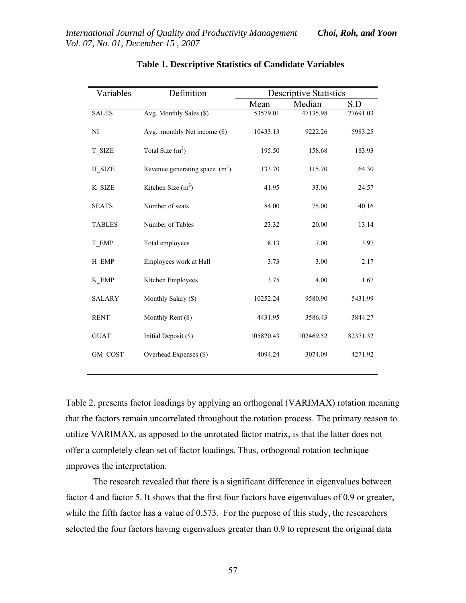| Variables     | Definition                       | <b>Descriptive Statistics</b> |           |          |
|---------------|----------------------------------|-------------------------------|-----------|----------|
|               |                                  | Mean                          | Median    | S.D      |
| <b>SALES</b>  | Avg. Monthly Sales (\$)          | 53579.01                      | 47135.98  | 27691.03 |
| NI            | Avg. monthly Net income (\$)     | 10433.13                      | 9222.26   | 5983.25  |
| T_SIZE        | Total Size $(m2)$                | 195.50                        | 158.68    | 183.93   |
| H_SIZE        | Revenue generating space $(m^2)$ | 133.70                        | 115.70    | 64.30    |
| K SIZE        | Kitchen Size $(m2)$              | 41.95                         | 33.06     | 24.57    |
| <b>SEATS</b>  | Number of seats                  | 84.00                         | 75.00     | 40.16    |
| <b>TABLES</b> | Number of Tables                 | 23.32                         | 20.00     | 13.14    |
| T EMP         | Total employees                  | 8.13                          | 7.00      | 3.97     |
| H EMP         | Employees work at Hall           | 3.73                          | 3.00      | 2.17     |
| K_EMP         | Kitchen Employees                | 3.75                          | 4.00      | 1.67     |
| <b>SALARY</b> | Monthly Salary (\$)              | 10252.24                      | 9580.90   | 5431.99  |
| <b>RENT</b>   | Monthly Rent (\$)                | 4431.95                       | 3586.43   | 3844.27  |
| <b>GUAT</b>   | Initial Deposit (\$)             | 105820.43                     | 102469.52 | 82371.32 |
| GM COST       | Overhead Expenses (\$)           | 4094.24                       | 3074.09   | 4271.92  |
|               |                                  |                               |           |          |

# **Table 1. Descriptive Statistics of Candidate Variables**

Table 2. presents factor loadings by applying an orthogonal (VARIMAX) rotation meaning that the factors remain uncorrelated throughout the rotation process. The primary reason to utilize VARIMAX, as apposed to the unrotated factor matrix, is that the latter does not offer a completely clean set of factor loadings. Thus, orthogonal rotation technique improves the interpretation.

 The research revealed that there is a significant difference in eigenvalues between factor 4 and factor 5. It shows that the first four factors have eigenvalues of 0.9 or greater, while the fifth factor has a value of 0.573. For the purpose of this study, the researchers selected the four factors having eigenvalues greater than 0.9 to represent the original data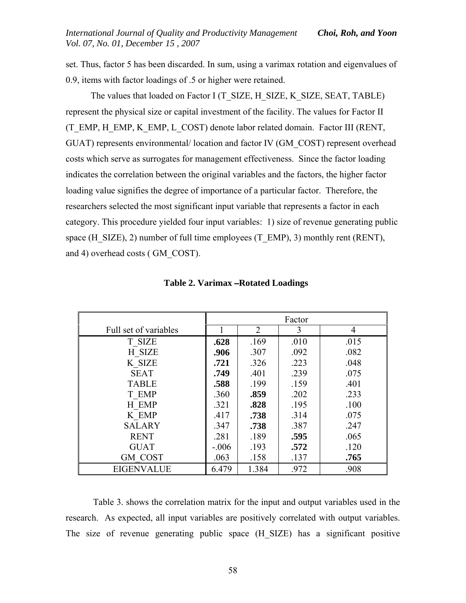set. Thus, factor 5 has been discarded. In sum, using a varimax rotation and eigenvalues of 0.9, items with factor loadings of .5 or higher were retained.

The values that loaded on Factor I (T\_SIZE, H\_SIZE, K\_SIZE, SEAT, TABLE) represent the physical size or capital investment of the facility. The values for Factor II (T\_EMP, H\_EMP, K\_EMP, L\_COST) denote labor related domain. Factor III (RENT, GUAT) represents environmental/ location and factor IV (GM\_COST) represent overhead costs which serve as surrogates for management effectiveness. Since the factor loading indicates the correlation between the original variables and the factors, the higher factor loading value signifies the degree of importance of a particular factor. Therefore, the researchers selected the most significant input variable that represents a factor in each category. This procedure yielded four input variables: 1) size of revenue generating public space (H\_SIZE), 2) number of full time employees (T\_EMP), 3) monthly rent (RENT), and 4) overhead costs ( GM\_COST).

|                       | Factor  |       |      |      |
|-----------------------|---------|-------|------|------|
| Full set of variables |         | 2     | 3    | 4    |
| T SIZE                | .628    | .169  | .010 | .015 |
| H SIZE                | .906    | .307  | .092 | .082 |
| K SIZE                | .721    | .326  | .223 | .048 |
| <b>SEAT</b>           | .749    | .401  | .239 | .075 |
| <b>TABLE</b>          | .588    | .199  | .159 | .401 |
| T EMP                 | .360    | .859  | .202 | .233 |
| H EMP                 | .321    | .828  | .195 | .100 |
| K EMP                 | .417    | .738  | .314 | .075 |
| <b>SALARY</b>         | .347    | .738  | .387 | .247 |
| <b>RENT</b>           | .281    | .189  | .595 | .065 |
| <b>GUAT</b>           | $-.006$ | .193  | .572 | .120 |
| <b>GM COST</b>        | .063    | .158  | .137 | .765 |
| <b>EIGENVALUE</b>     | 6.479   | 1.384 | .972 | .908 |

|  |  |  | <b>Table 2. Varimax – Rotated Loadings</b> |
|--|--|--|--------------------------------------------|
|--|--|--|--------------------------------------------|

 Table 3. shows the correlation matrix for the input and output variables used in the research. As expected, all input variables are positively correlated with output variables. The size of revenue generating public space (H\_SIZE) has a significant positive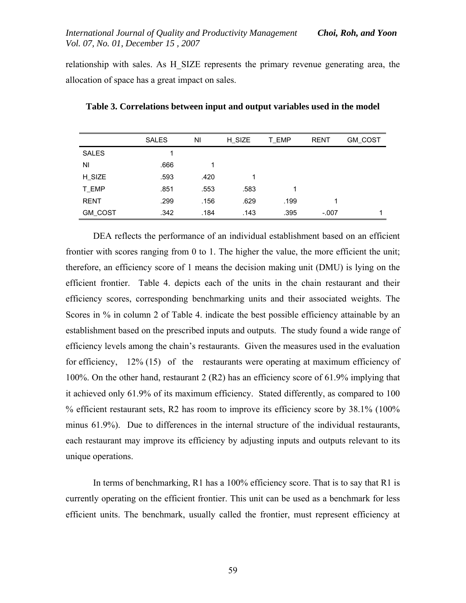relationship with sales. As H\_SIZE represents the primary revenue generating area, the allocation of space has a great impact on sales.

|                | <b>SALES</b> | NI   | H SIZE | T_EMP | <b>RENT</b> | GM_COST |
|----------------|--------------|------|--------|-------|-------------|---------|
| <b>SALES</b>   |              |      |        |       |             |         |
| ΝI             | .666         |      |        |       |             |         |
| H_SIZE         | .593         | .420 | 1      |       |             |         |
| T_EMP          | .851         | .553 | .583   | 1     |             |         |
| <b>RENT</b>    | .299         | .156 | .629   | .199  |             |         |
| <b>GM_COST</b> | .342         | .184 | .143   | .395  | $-.007$     |         |

**Table 3. Correlations between input and output variables used in the model** 

DEA reflects the performance of an individual establishment based on an efficient frontier with scores ranging from 0 to 1. The higher the value, the more efficient the unit; therefore, an efficiency score of 1 means the decision making unit (DMU) is lying on the efficient frontier. Table 4. depicts each of the units in the chain restaurant and their efficiency scores, corresponding benchmarking units and their associated weights. The Scores in % in column 2 of Table 4. indicate the best possible efficiency attainable by an establishment based on the prescribed inputs and outputs. The study found a wide range of efficiency levels among the chain's restaurants. Given the measures used in the evaluation for efficiency, 12% (15) of the restaurants were operating at maximum efficiency of 100%. On the other hand, restaurant 2 (R2) has an efficiency score of 61.9% implying that it achieved only 61.9% of its maximum efficiency. Stated differently, as compared to 100 % efficient restaurant sets, R2 has room to improve its efficiency score by 38.1% (100% minus 61.9%). Due to differences in the internal structure of the individual restaurants, each restaurant may improve its efficiency by adjusting inputs and outputs relevant to its unique operations.

In terms of benchmarking, R1 has a 100% efficiency score. That is to say that R1 is currently operating on the efficient frontier. This unit can be used as a benchmark for less efficient units. The benchmark, usually called the frontier, must represent efficiency at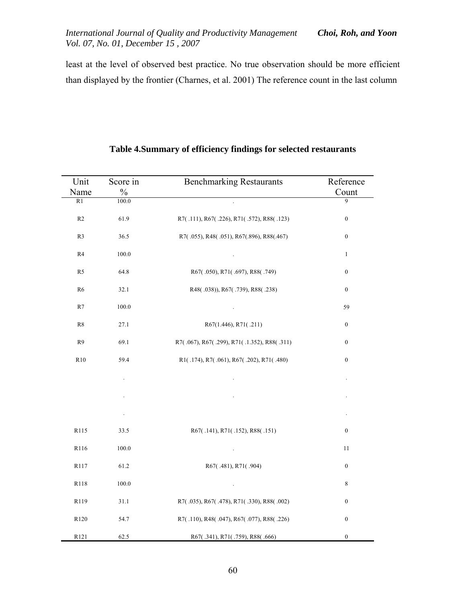*International Journal of Quality and Productivity Management Choi, Roh, and Yoon Vol. 07, No. 01, December 15 , 2007* 

least at the level of observed best practice. No true observation should be more efficient than displayed by the frontier (Charnes, et al. 2001) The reference count in the last column

| Unit           | Score in | <b>Benchmarking Restaurants</b>             | Reference        |
|----------------|----------|---------------------------------------------|------------------|
| Name           | $\%$     |                                             | Count            |
| R1             | 100.0    |                                             | 9                |
| R2             | 61.9     | R7(.111), R67(.226), R71(.572), R88(.123)   | $\boldsymbol{0}$ |
| R <sub>3</sub> | 36.5     | R7(.055), R48(.051), R67(.896), R88(.467)   | $\boldsymbol{0}$ |
| R4             | 100.0    |                                             | $\mathbf{1}$     |
| R5             | 64.8     | R67(.050), R71(.697), R88(.749)             | $\boldsymbol{0}$ |
| R6             | 32.1     | R48(.038)), R67(.739), R88(.238)            | $\boldsymbol{0}$ |
| R7             | 100.0    | $\sim$ $\sim$                               | 59               |
| ${\bf R8}$     | 27.1     | R67(1.446), R71(.211)                       | $\boldsymbol{0}$ |
| R <sub>9</sub> | 69.1     | R7(.067), R67(.299), R71(.1.352), R88(.311) | $\boldsymbol{0}$ |
| R10            | 59.4     | R1(.174), R7(.061), R67(.202), R71(.480)    | $\boldsymbol{0}$ |
|                |          |                                             |                  |
|                |          |                                             |                  |
|                |          |                                             |                  |
| R115           | 33.5     | R67(.141), R71(.152), R88(.151)             | $\boldsymbol{0}$ |
| R116           | 100.0    | $\ddot{\phantom{a}}$                        | $11$             |
| R117           | 61.2     | R67(.481), R71(.904)                        | $\boldsymbol{0}$ |
| R118           | 100.0    | $\cdot$                                     | 8                |
| R119           | 31.1     | R7(.035), R67(.478), R71(.330), R88(.002)   | $\boldsymbol{0}$ |
| R120           | 54.7     | R7(.110), R48(.047), R67(.077), R88(.226)   | $\boldsymbol{0}$ |
| R121           | 62.5     | R67(.341), R71(.759), R88(.666)             | $\boldsymbol{0}$ |

# **Table 4.Summary of efficiency findings for selected restaurants**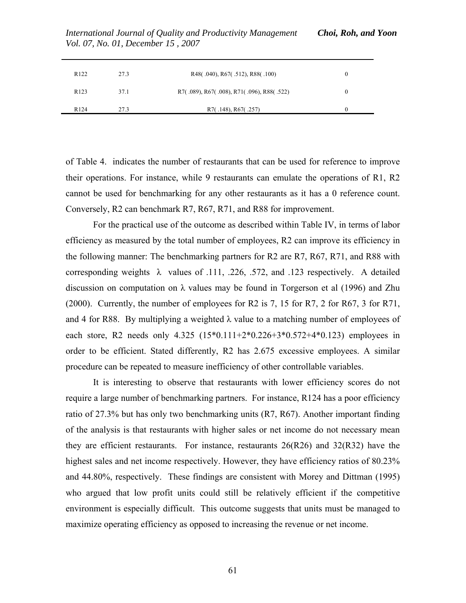| R <sub>122</sub> | 27.3 | R48(.040), R67(.512), R88(.100)           | $_{0}$ |
|------------------|------|-------------------------------------------|--------|
| R <sub>123</sub> | 37.1 | R7(.089), R67(.008), R71(.096), R88(.522) | 0      |
|                  |      |                                           |        |
| R <sub>124</sub> | 27.3 | R7(.148), R67(.257)                       |        |

*International Journal of Quality and Productivity Management Choi, Roh, and Yoon Vol. 07, No. 01, December 15 , 2007* 

of Table 4. indicates the number of restaurants that can be used for reference to improve their operations. For instance, while 9 restaurants can emulate the operations of R1, R2 cannot be used for benchmarking for any other restaurants as it has a 0 reference count. Conversely, R2 can benchmark R7, R67, R71, and R88 for improvement.

 For the practical use of the outcome as described within Table IV, in terms of labor efficiency as measured by the total number of employees, R2 can improve its efficiency in the following manner: The benchmarking partners for R2 are R7, R67, R71, and R88 with corresponding weights  $\lambda$  values of .111, .226, .572, and .123 respectively. A detailed discussion on computation on  $\lambda$  values may be found in Torgerson et al (1996) and Zhu (2000). Currently, the number of employees for R2 is 7, 15 for R7, 2 for R67, 3 for R71, and 4 for R88. By multiplying a weighted  $\lambda$  value to a matching number of employees of each store, R2 needs only  $4.325$   $(15*0.111+2*0.226+3*0.572+4*0.123)$  employees in order to be efficient. Stated differently, R2 has 2.675 excessive employees. A similar procedure can be repeated to measure inefficiency of other controllable variables.

 It is interesting to observe that restaurants with lower efficiency scores do not require a large number of benchmarking partners. For instance, R124 has a poor efficiency ratio of 27.3% but has only two benchmarking units (R7, R67). Another important finding of the analysis is that restaurants with higher sales or net income do not necessary mean they are efficient restaurants. For instance, restaurants  $26(R26)$  and  $32(R32)$  have the highest sales and net income respectively. However, they have efficiency ratios of 80.23% and 44.80%, respectively. These findings are consistent with Morey and Dittman (1995) who argued that low profit units could still be relatively efficient if the competitive environment is especially difficult. This outcome suggests that units must be managed to maximize operating efficiency as opposed to increasing the revenue or net income.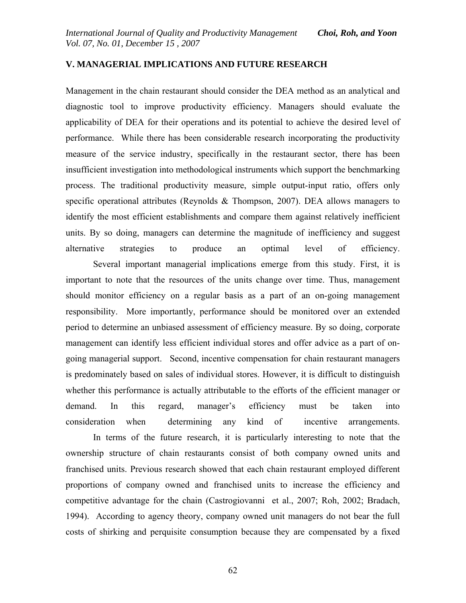### **V. MANAGERIAL IMPLICATIONS AND FUTURE RESEARCH**

Management in the chain restaurant should consider the DEA method as an analytical and diagnostic tool to improve productivity efficiency. Managers should evaluate the applicability of DEA for their operations and its potential to achieve the desired level of performance. While there has been considerable research incorporating the productivity measure of the service industry, specifically in the restaurant sector, there has been insufficient investigation into methodological instruments which support the benchmarking process. The traditional productivity measure, simple output-input ratio, offers only specific operational attributes (Reynolds & Thompson, 2007). DEA allows managers to identify the most efficient establishments and compare them against relatively inefficient units. By so doing, managers can determine the magnitude of inefficiency and suggest alternative strategies to produce an optimal level of efficiency.

 Several important managerial implications emerge from this study. First, it is important to note that the resources of the units change over time. Thus, management should monitor efficiency on a regular basis as a part of an on-going management responsibility. More importantly, performance should be monitored over an extended period to determine an unbiased assessment of efficiency measure. By so doing, corporate management can identify less efficient individual stores and offer advice as a part of ongoing managerial support. Second, incentive compensation for chain restaurant managers is predominately based on sales of individual stores. However, it is difficult to distinguish whether this performance is actually attributable to the efforts of the efficient manager or demand. In this regard, manager's efficiency must be taken into consideration when determining any kind of incentive arrangements.

 In terms of the future research, it is particularly interesting to note that the ownership structure of chain restaurants consist of both company owned units and franchised units. Previous research showed that each chain restaurant employed different proportions of company owned and franchised units to increase the efficiency and competitive advantage for the chain (Castrogiovanni et al., 2007; Roh, 2002; Bradach, 1994). According to agency theory, company owned unit managers do not bear the full costs of shirking and perquisite consumption because they are compensated by a fixed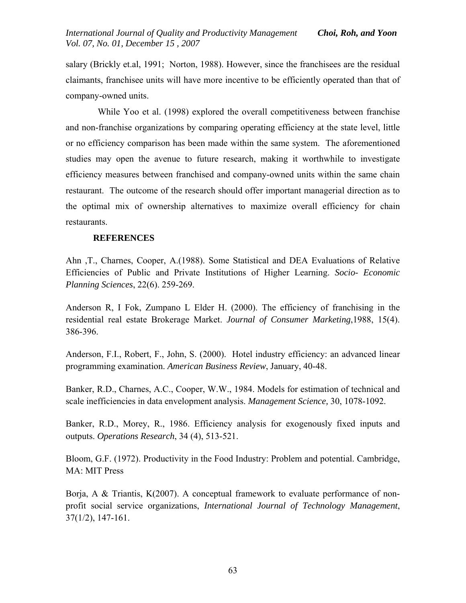salary (Brickly et.al, 1991; Norton, 1988). However, since the franchisees are the residual claimants, franchisee units will have more incentive to be efficiently operated than that of company-owned units.

 While Yoo et al. (1998) explored the overall competitiveness between franchise and non-franchise organizations by comparing operating efficiency at the state level, little or no efficiency comparison has been made within the same system. The aforementioned studies may open the avenue to future research, making it worthwhile to investigate efficiency measures between franchised and company-owned units within the same chain restaurant. The outcome of the research should offer important managerial direction as to the optimal mix of ownership alternatives to maximize overall efficiency for chain restaurants.

# **REFERENCES**

Ahn ,T., Charnes, Cooper, A.(1988). Some Statistical and DEA Evaluations of Relative Efficiencies of Public and Private Institutions of Higher Learning. *Socio- Economic Planning Sciences*, 22(6). 259-269.

Anderson R, I Fok, Zumpano L Elder H. (2000). The efficiency of franchising in the residential real estate Brokerage Market. *Journal of Consumer Marketing*,1988, 15(4). 386-396.

Anderson, F.I., Robert, F., John, S. (2000). Hotel industry efficiency: an advanced linear programming examination. *American Business Review*, January, 40-48.

Banker, R.D., Charnes, A.C., Cooper, W.W., 1984. Models for estimation of technical and scale inefficiencies in data envelopment analysis. *Management Science,* 30, 1078-1092.

Banker, R.D., Morey, R., 1986. Efficiency analysis for exogenously fixed inputs and outputs. *Operations Research*, 34 (4), 513-521.

Bloom, G.F. (1972). Productivity in the Food Industry: Problem and potential. Cambridge, MA: MIT Press

Borja, A & Triantis, K(2007). A conceptual framework to evaluate performance of nonprofit social service organizations, *International Journal of Technology Management*, 37(1/2), 147-161.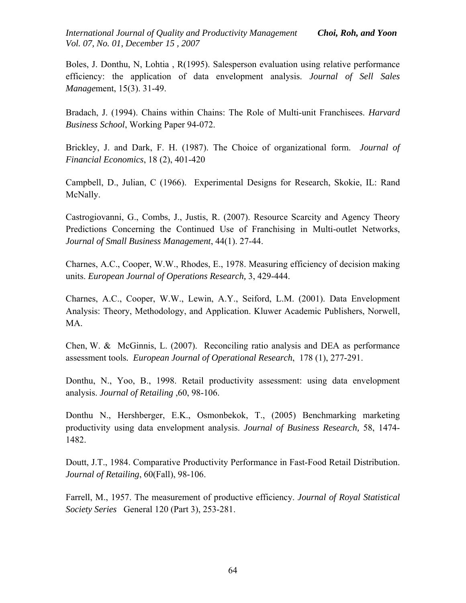Boles, J. Donthu, N, Lohtia , R(1995). Salesperson evaluation using relative performance efficiency: the application of data envelopment analysis. *Journal of Sell Sales Manage*ment, 15(3). 31-49.

Bradach, J. (1994). Chains within Chains: The Role of Multi-unit Franchisees. *Harvard Business School*, Working Paper 94-072.

Brickley, J. and Dark, F. H. (1987). The Choice of organizational form. *Journal of Financial Economics*, 18 (2), 401-420

Campbell, D., Julian, C (1966). Experimental Designs for Research, Skokie, IL: Rand McNally.

Castrogiovanni, G., Combs, J., Justis, R. (2007). Resource Scarcity and Agency Theory Predictions Concerning the Continued Use of Franchising in Multi-outlet Networks, *Journal of Small Business Management*, 44(1). 27-44.

Charnes, A.C., Cooper, W.W., Rhodes, E., 1978. Measuring efficiency of decision making units. *European Journal of Operations Research,* 3, 429-444.

Charnes, A.C., Cooper, W.W., Lewin, A.Y., Seiford, L.M. (2001). Data Envelopment Analysis: Theory, Methodology, and Application. Kluwer Academic Publishers, Norwell, MA.

Chen, W. & McGinnis, L. (2007). Reconciling ratio analysis and DEA as performance assessment tools*. [European Journal of Operational Research](http://0-proquest.umi.com.catalog.lib.cmich.edu/pqdweb?RQT=318&pmid=9160&TS=1177293243&clientId=45540&VType=PQD&VName=PQD&VInst=PROD)*, 178 (1), 277-291.

Donthu, N., Yoo, B., 1998. Retail productivity assessment: using data envelopment analysis. *Journal of Retailing* ,60, 98-106.

Donthu N., Hershberger, E.K., Osmonbekok, T., (2005) Benchmarking marketing productivity using data envelopment analysis. *Journal of Business Research,* 58, 1474- 1482.

Doutt, J.T., 1984. Comparative Productivity Performance in Fast-Food Retail Distribution. *Journal of Retailing*, 60(Fall), 98-106.

Farrell, M., 1957. The measurement of productive efficiency. *Journal of Royal Statistical Society Series* General 120 (Part 3), 253-281.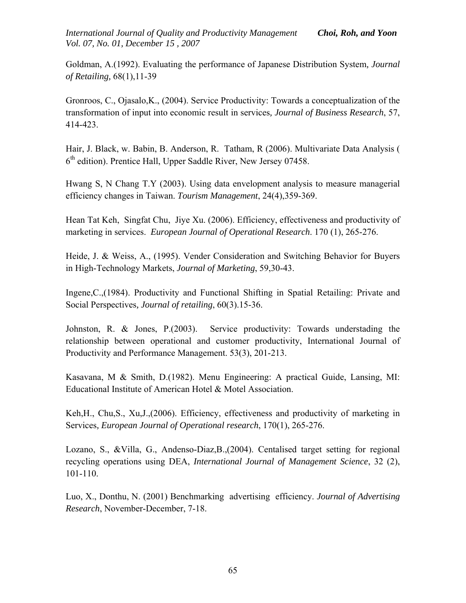Goldman, A.(1992). Evaluating the performance of Japanese Distribution System*, Journal of Retailing,* 68(1),11-39

Gronroos, C., Ojasalo,K., (2004). Service Productivity: Towards a conceptualization of the transformation of input into economic result in services*, Journal of Business Research*, 57, 414-423.

Hair, J. Black, w. Babin, B. Anderson, R. Tatham, R (2006). Multivariate Data Analysis (  $6<sup>th</sup>$  edition). Prentice Hall, Upper Saddle River, New Jersey 07458.

Hwang S, N Chang T.Y (2003). Using data envelopment analysis to measure managerial efficiency changes in Taiwan. *Tourism Management*, 24(4),359-369.

Hean Tat Keh, Singfat Chu, Jiye Xu. (2006). Efficiency, effectiveness and productivity of marketing in services. *European Journal of Operational Research*. 170 (1), 265-276.

Heide, J. & Weiss, A., (1995). Vender Consideration and Switching Behavior for Buyers in High-Technology Markets, *Journal of Marketing*, 59,30-43.

Ingene,C.,(1984). Productivity and Functional Shifting in Spatial Retailing: Private and Social Perspectives*, Journal of retailing*, 60(3).15-36.

Johnston, R. & Jones, P.(2003). Service productivity: Towards understading the relationship between operational and customer productivity, International Journal of Productivity and Performance Management. 53(3), 201-213.

Kasavana, M & Smith, D.(1982). Menu Engineering: A practical Guide, Lansing, MI: Educational Institute of American Hotel & Motel Association.

Keh,H., Chu,S., Xu,J.,(2006). Efficiency, effectiveness and productivity of marketing in Services*, European Journal of Operational research*, 170(1), 265-276.

Lozano, S., &Villa, G., Andenso-Diaz,B.,(2004). Centalised target setting for regional recycling operations using DEA, *International Journal of Management Science*, 32 (2), 101-110.

Luo, X., Donthu, N. (2001) Benchmarking advertising efficiency. *Journal of Advertising Research*, November-December, 7-18.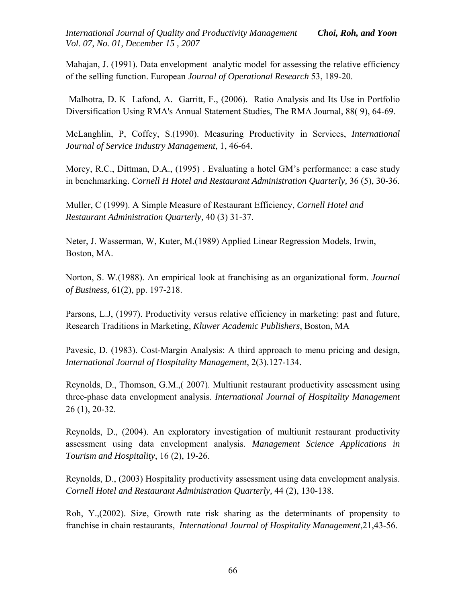Mahajan, J. (1991). Data envelopment analytic model for assessing the relative efficiency of the selling function. European *Journal of Operational Research* 53, 189-20.

 Malhotra, D. K Lafond, A. Garritt, F., (2006). Ratio Analysis and Its Use in Portfolio Diversification Using RMA's Annual Statement Studies, [The RMA Journal](http://0-proquest.umi.com.catalog.lib.cmich.edu/pqdweb?RQT=318&pmid=18083&TS=1176462613&clientId=45540&VType=PQD&VName=PQD&VInst=PROD), 88( 9), 64-69.

McLanghlin, P, Coffey, S.(1990). Measuring Productivity in Services, *International Journal of Service Industry Management*, 1, 46-64.

Morey, R.C., Dittman, D.A., (1995) . Evaluating a hotel GM's performance: a case study in benchmarking. *Cornell H Hotel and Restaurant Administration Quarterly,* 36 (5), 30-36.

Muller, C (1999). A Simple Measure of Restaurant Efficiency, *Cornell Hotel and Restaurant Administration Quarterly,* 40 (3) 31-37.

Neter, J. Wasserman, W, Kuter, M.(1989) Applied Linear Regression Models, Irwin, Boston, MA.

Norton, S. W.(1988). An empirical look at franchising as an organizational form. *Journal of Business,* 61(2), pp. 197-218.

Parsons, L.J, (1997). Productivity versus relative efficiency in marketing: past and future, Research Traditions in Marketing, *Kluwer Academic Publishers*, Boston, MA

Pavesic, D. (1983). Cost-Margin Analysis: A third approach to menu pricing and design, *International Journal of Hospitality Management*, 2(3).127-134.

Reynolds, D., Thomson, G.M.,( 2007). Multiunit restaurant productivity assessment using three-phase data envelopment analysis. *International Journal of Hospitality Management* 26 (1), 20-32.

Reynolds, D., (2004). An exploratory investigation of multiunit restaurant productivity assessment using data envelopment analysis. *Management Science Applications in Tourism and Hospitality*, 16 (2), 19-26.

Reynolds, D., (2003) Hospitality productivity assessment using data envelopment analysis. *Cornell Hotel and Restaurant Administration Quarterly,* 44 (2), 130-138.

Roh, Y.,(2002). Size, Growth rate risk sharing as the determinants of propensity to franchise in chain restaurants, *International Journal of Hospitality Management*,21,43-56.